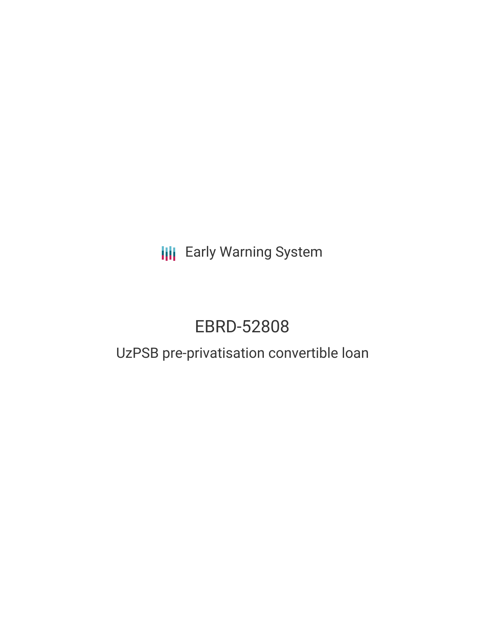**III** Early Warning System

# EBRD-52808

# UzPSB pre-privatisation convertible loan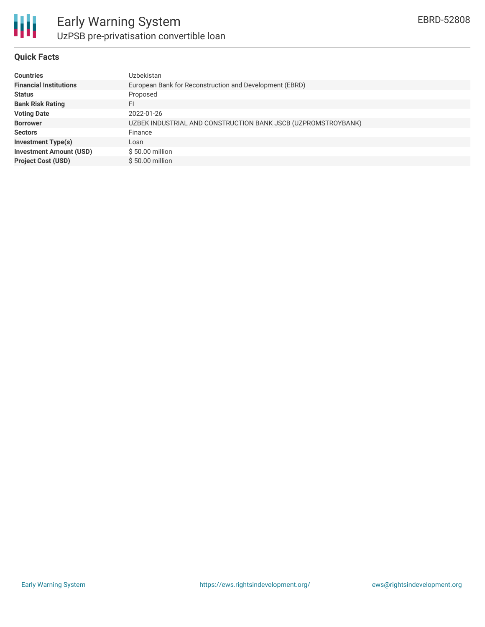

#### **Quick Facts**

| <b>Countries</b>               | Uzbekistan                                                    |
|--------------------------------|---------------------------------------------------------------|
| <b>Financial Institutions</b>  | European Bank for Reconstruction and Development (EBRD)       |
| <b>Status</b>                  | Proposed                                                      |
| <b>Bank Risk Rating</b>        | FI                                                            |
| <b>Voting Date</b>             | 2022-01-26                                                    |
| <b>Borrower</b>                | UZBEK INDUSTRIAL AND CONSTRUCTION BANK JSCB (UZPROMSTROYBANK) |
| <b>Sectors</b>                 | Finance                                                       |
| <b>Investment Type(s)</b>      | Loan                                                          |
| <b>Investment Amount (USD)</b> | \$50.00 million                                               |
| <b>Project Cost (USD)</b>      | \$50.00 million                                               |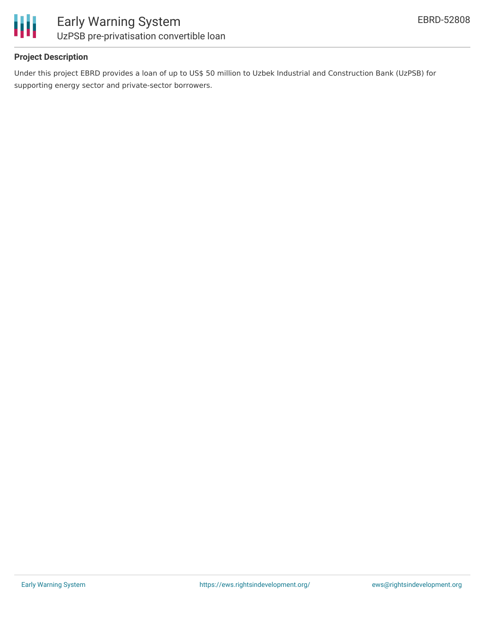

### **Project Description**

Under this project EBRD provides a loan of up to US\$ 50 million to Uzbek Industrial and Construction Bank (UzPSB) for supporting energy sector and private-sector borrowers.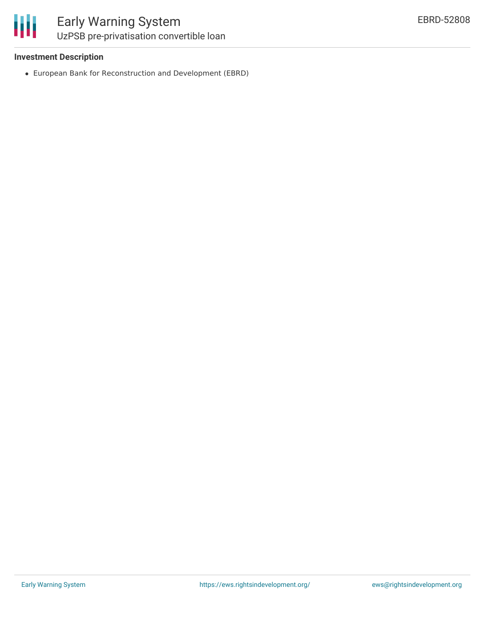冊

### **Investment Description**

European Bank for Reconstruction and Development (EBRD)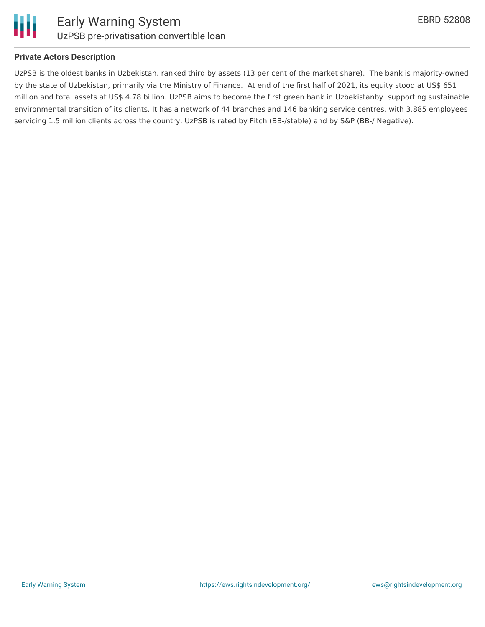

Ш

### **Private Actors Description**

UzPSB is the oldest banks in Uzbekistan, ranked third by assets (13 per cent of the market share). The bank is majority-owned by the state of Uzbekistan, primarily via the Ministry of Finance. At end of the first half of 2021, its equity stood at US\$ 651 million and total assets at US\$ 4.78 billion. UzPSB aims to become the first green bank in Uzbekistanby supporting sustainable environmental transition of its clients. It has a network of 44 branches and 146 banking service centres, with 3,885 employees servicing 1.5 million clients across the country. UzPSB is rated by Fitch (BB-/stable) and by S&P (BB-/ Negative).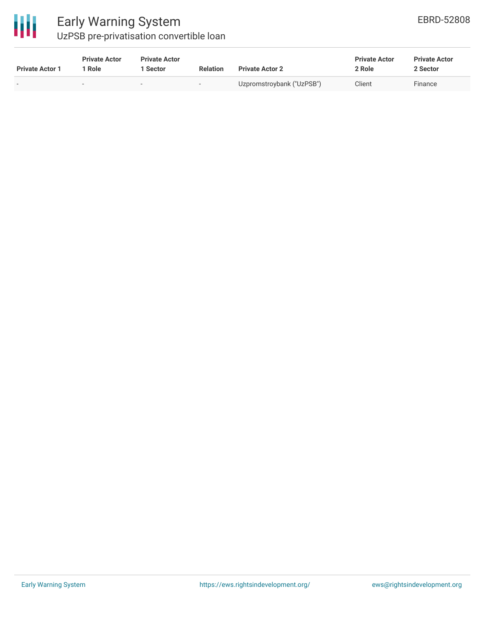

# Early Warning System

UzPSB pre-privatisation convertible loan

| <b>Private Actor 1</b> | <b>Private Actor</b><br>  Role | <b>Private Actor</b><br>l Sector | <b>Relation</b>          | <b>Private Actor 2</b>    | <b>Private Actor</b><br>2 Role | <b>Private Actor</b><br>2 Sector |
|------------------------|--------------------------------|----------------------------------|--------------------------|---------------------------|--------------------------------|----------------------------------|
|                        | -                              |                                  | $\overline{\phantom{a}}$ | Uzpromstroybank ("UzPSB") | Client                         | Finance                          |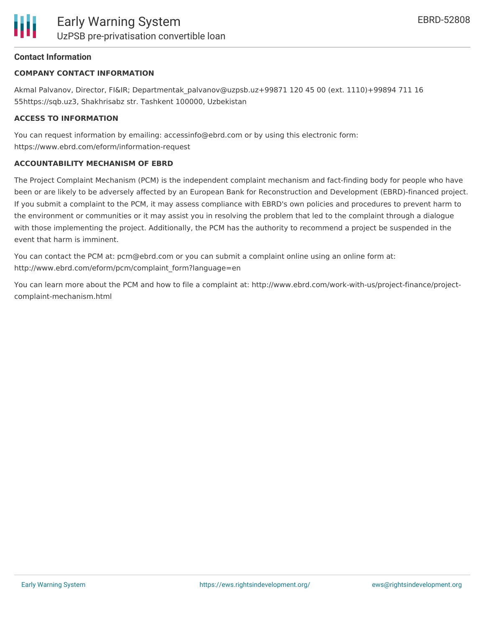# **Contact Information**

# **COMPANY CONTACT INFORMATION**

Akmal Palvanov, Director, FI&IR; Departmentak\_palvanov@uzpsb.uz+99871 120 45 00 (ext. 1110)+99894 711 16 55https://sqb.uz3, Shakhrisabz str. Tashkent 100000, Uzbekistan

# **ACCESS TO INFORMATION**

You can request information by emailing: accessinfo@ebrd.com or by using this electronic form: https://www.ebrd.com/eform/information-request

## **ACCOUNTABILITY MECHANISM OF EBRD**

The Project Complaint Mechanism (PCM) is the independent complaint mechanism and fact-finding body for people who have been or are likely to be adversely affected by an European Bank for Reconstruction and Development (EBRD)-financed project. If you submit a complaint to the PCM, it may assess compliance with EBRD's own policies and procedures to prevent harm to the environment or communities or it may assist you in resolving the problem that led to the complaint through a dialogue with those implementing the project. Additionally, the PCM has the authority to recommend a project be suspended in the event that harm is imminent.

You can contact the PCM at: pcm@ebrd.com or you can submit a complaint online using an online form at: http://www.ebrd.com/eform/pcm/complaint\_form?language=en

You can learn more about the PCM and how to file a complaint at: http://www.ebrd.com/work-with-us/project-finance/projectcomplaint-mechanism.html